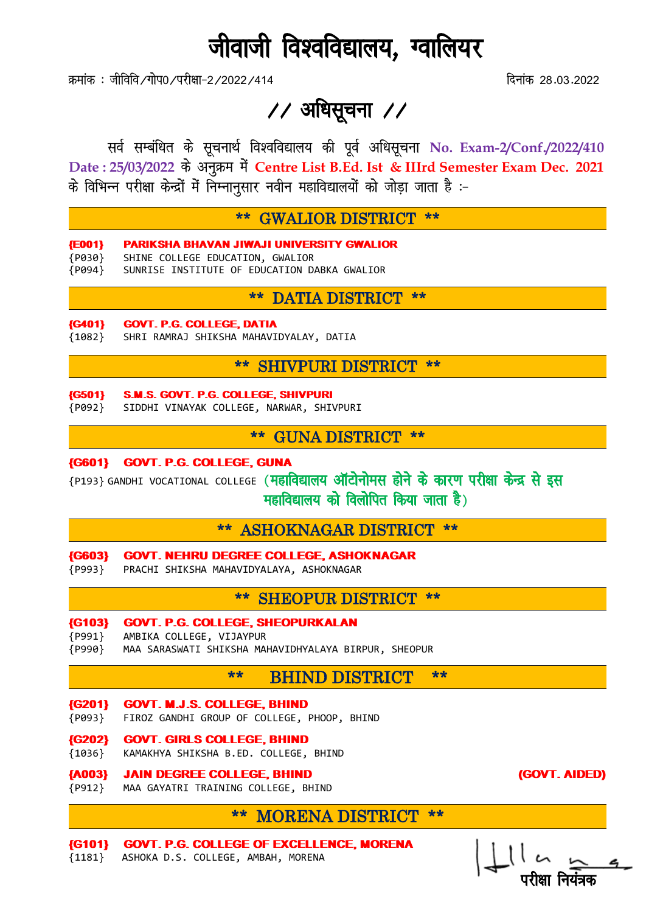# जीवाजी विश्वविद्यालय, ग्वालियर

क्रमांक : जीविवि ∕गोप0 ⁄परीक्षा−2 /2022 /414 for the 28-03-2022 factor of the 28-03-2022

 $\frac{1}{2}$  अधिसूचना  $\frac{1}{2}$ 

सर्व सम्बंधित के सूचनार्थ विश्वविद्यालय की पूर्व अधिसूचना No. Exam-2/Conf./2022/410 Date : 25/03/2022 के अनुक्रम में Centre List B.Ed. Ist & IIIrd Semester Exam Dec. 2021 के विभिन्न परीक्षा केन्द्रों में निम्नानसार नवीन महाविद्यालयों को जोडा जाता है :-

#### \*\* GWALIOR DISTRICT \*\*

- {E001} PARIKSHA BHAVAN JIWAJI UNIVERSITY GWALIOR
- {P030} SHINE COLLEGE EDUCATION, GWALIOR
- {P094} SUNRISE INSTITUTE OF EDUCATION DABKA GWALIOR

#### \*\* DATIA DISTRICT \*\*

#### {G401} GOVT. P.G. COLLEGE, DATIA

{1082} SHRI RAMRAJ SHIKSHA MAHAVIDYALAY, DATIA

## \*\* SHIVPURI DISTRICT \*\*

#### {G501} S.M.S. GOVT. P.G. COLLEGE, SHIVPURI

{P092} SIDDHI VINAYAK COLLEGE, NARWAR, SHIVPURI

### \*\* GUNA DISTRICT \*\*

#### {G601} GOVT. P.G. COLLEGE, GUNA

{P193} GANDHI VOCATIONAL COLLEGE (महाविद्यालय ऑटोनोमस होने के कारण परीक्षा केन्द्र से इस  $\frac{1}{\sqrt{2}}$  महाविद्यालय को विलोपित किया जाता है)

### \*\* ASHOKNAGAR DISTRICT \*\*

- {G603} GOVT. NEHRU DEGREE COLLEGE, ASHOKNAGAR
- {P993} PRACHI SHIKSHA MAHAVIDYALAYA, ASHOKNAGAR

### \*\* SHEOPUR DISTRICT \*\*

- {G103} GOVT. P.G. COLLEGE, SHEOPURKALAN
- {P991} AMBIKA COLLEGE, VIJAYPUR
- {P990} MAA SARASWATI SHIKSHA MAHAVIDHYALAYA BIRPUR, SHEOPUR

# \*\* BHIND DISTRICT \*\*

- {G201} GOVT. M.J.S. COLLEGE, BHIND
- {P093} FIROZ GANDHI GROUP OF COLLEGE, PHOOP, BHIND
- {G202} GOVT. GIRLS COLLEGE, BHIND
- {1036} KAMAKHYA SHIKSHA B.ED. COLLEGE, BHIND

#### {A003} JAIN DEGREE COLLEGE, BHIND (GOVT. AIDED)

{P912} MAA GAYATRI TRAINING COLLEGE, BHIND

# \*\* MORENA DISTRICT \*\*

{G101} GOVT. P.G. COLLEGE OF EXCELLENCE, MORENA {1181} ASHOKA D.S. COLLEGE, AMBAH, MORENA

<u>ijhet valdīga atstāvīga atstāvīga atstāvīga atstāvīga atstāvīga atstāvīga atstāvīga atstāvīga atstāvīga atstāv</u>